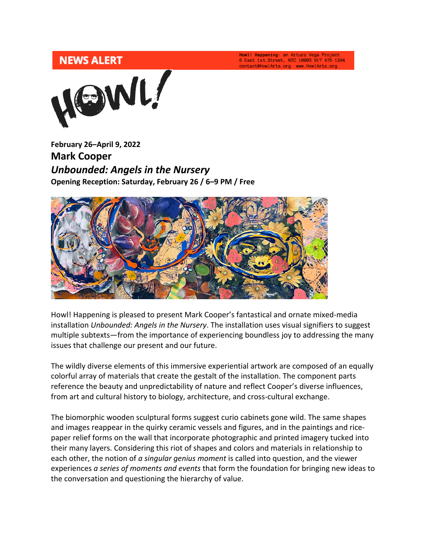Howl! Happening: an Arturo Vega Project<br>6 East 1st Street, NYC 10003 917 475 1294 contact@HowlArts.org www.HowlArts.org



**February 26–April 9, 2022 Mark Cooper** *Unbounded: Angels in the Nursery* **Opening Reception: Saturday, February 26 / 6–9 PM / Free**



Howl! Happening is pleased to present Mark Cooper's fantastical and ornate mixed-media installation *Unbounded: Angels in the Nursery*. The installation uses visual signifiers to suggest multiple subtexts—from the importance of experiencing boundless joy to addressing the many issues that challenge our present and our future.

The wildly diverse elements of this immersive experiential artwork are composed of an equally colorful array of materials that create the gestalt of the installation. The component parts reference the beauty and unpredictability of nature and reflect Cooper's diverse influences, from art and cultural history to biology, architecture, and cross-cultural exchange.

The biomorphic wooden sculptural forms suggest curio cabinets gone wild. The same shapes and images reappear in the quirky ceramic vessels and figures, and in the paintings and ricepaper relief forms on the wall that incorporate photographic and printed imagery tucked into their many layers. Considering this riot of shapes and colors and materials in relationship to each other, the notion of *a singular genius moment* is called into question, and the viewer experiences *a series of moments and events* that form the foundation for bringing new ideas to the conversation and questioning the hierarchy of value.